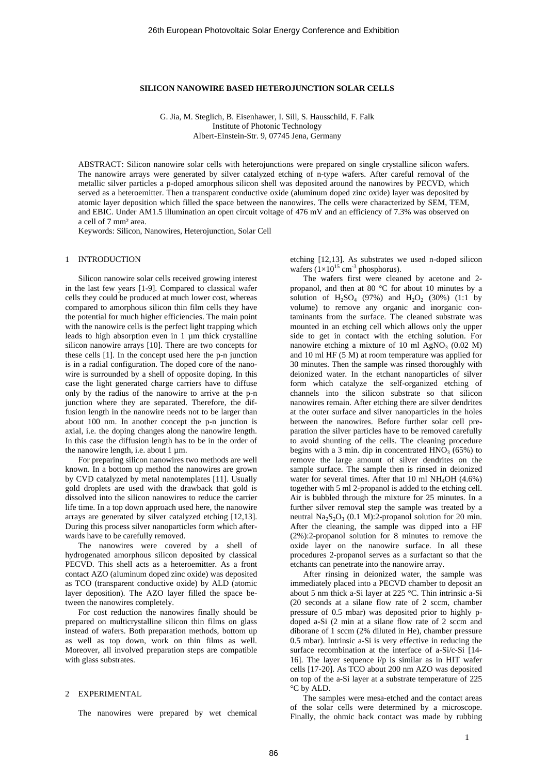## **SILICON NANOWIRE BASED HETEROJUNCTION SOLAR CELLS**

G. Jia, M. Steglich, B. Eisenhawer, I. Sill, S. Hausschild, F. Falk Institute of Photonic Technology Albert-Einstein-Str. 9, 07745 Jena, Germany

ABSTRACT: Silicon nanowire solar cells with heterojunctions were prepared on single crystalline silicon wafers. The nanowire arrays were generated by silver catalyzed etching of n-type wafers. After careful removal of the metallic silver particles a p-doped amorphous silicon shell was deposited around the nanowires by PECVD, which served as a heteroemitter. Then a transparent conductive oxide (aluminum doped zinc oxide) layer was deposited by atomic layer deposition which filled the space between the nanowires. The cells were characterized by SEM, TEM, and EBIC. Under AM1.5 illumination an open circuit voltage of 476 mV and an efficiency of 7.3% was observed on a cell of 7 mm² area.

Keywords: Silicon, Nanowires, Heterojunction, Solar Cell

# 1 INTRODUCTION

Silicon nanowire solar cells received growing interest in the last few years [1-9]. Compared to classical wafer cells they could be produced at much lower cost, whereas compared to amorphous silicon thin film cells they have the potential for much higher efficiencies. The main point with the nanowire cells is the perfect light trapping which leads to high absorption even in 1 µm thick crystalline silicon nanowire arrays [10]. There are two concepts for these cells [1]. In the concept used here the p-n junction is in a radial configuration. The doped core of the nanowire is surrounded by a shell of opposite doping. In this case the light generated charge carriers have to diffuse only by the radius of the nanowire to arrive at the p-n junction where they are separated. Therefore, the diffusion length in the nanowire needs not to be larger than about 100 nm. In another concept the p-n junction is axial, i.e. the doping changes along the nanowire length. In this case the diffusion length has to be in the order of the nanowire length, i.e. about  $1 \mu m$ .

For preparing silicon nanowires two methods are well known. In a bottom up method the nanowires are grown by CVD catalyzed by metal nanotemplates [11]. Usually gold droplets are used with the drawback that gold is dissolved into the silicon nanowires to reduce the carrier life time. In a top down approach used here, the nanowire arrays are generated by silver catalyzed etching [12,13]. During this process silver nanoparticles form which afterwards have to be carefully removed.

The nanowires were covered by a shell of hydrogenated amorphous silicon deposited by classical PECVD. This shell acts as a heteroemitter. As a front contact AZO (aluminum doped zinc oxide) was deposited as TCO (transparent conductive oxide) by ALD (atomic layer deposition). The AZO layer filled the space between the nanowires completely.

For cost reduction the nanowires finally should be prepared on multicrystalline silicon thin films on glass instead of wafers. Both preparation methods, bottom up as well as top down, work on thin films as well. Moreover, all involved preparation steps are compatible with glass substrates.

## 2 EXPERIMENTAL

The nanowires were prepared by wet chemical

etching [12,13]. As substrates we used n-doped silicon wafers  $(1\times10^{15}$  cm<sup>-3</sup> phosphorus).

The wafers first were cleaned by acetone and 2 propanol, and then at 80 °C for about 10 minutes by a solution of  $H_2SO_4$  (97%) and  $H_2O_2$  (30%) (1:1 by volume) to remove any organic and inorganic contaminants from the surface. The cleaned substrate was mounted in an etching cell which allows only the upper side to get in contact with the etching solution. For nanowire etching a mixture of 10 ml AgNO<sub>3</sub> (0.02 M) and 10 ml HF (5 M) at room temperature was applied for 30 minutes. Then the sample was rinsed thoroughly with deionized water. In the etchant nanoparticles of silver form which catalyze the self-organized etching of channels into the silicon substrate so that silicon nanowires remain. After etching there are silver dendrites at the outer surface and silver nanoparticles in the holes between the nanowires. Before further solar cell preparation the silver particles have to be removed carefully to avoid shunting of the cells. The cleaning procedure begins with a 3 min. dip in concentrated  $HNO<sub>3</sub>$  (65%) to remove the large amount of silver dendrites on the sample surface. The sample then is rinsed in deionized water for several times. After that  $10$  ml NH<sub>4</sub>OH (4.6%) together with 5 ml 2-propanol is added to the etching cell. Air is bubbled through the mixture for 25 minutes. In a further silver removal step the sample was treated by a neutral  $Na<sub>2</sub>S<sub>2</sub>O<sub>3</sub>$  (0.1 M):2-propanol solution for 20 min. After the cleaning, the sample was dipped into a HF (2%):2-propanol solution for 8 minutes to remove the oxide layer on the nanowire surface. In all these procedures 2-propanol serves as a surfactant so that the etchants can penetrate into the nanowire array.

After rinsing in deionized water, the sample was immediately placed into a PECVD chamber to deposit an about 5 nm thick a-Si layer at 225 °C. Thin intrinsic a-Si (20 seconds at a silane flow rate of 2 sccm, chamber pressure of 0.5 mbar) was deposited prior to highly pdoped a-Si (2 min at a silane flow rate of 2 sccm and diborane of 1 sccm (2% diluted in He), chamber pressure 0.5 mbar). Intrinsic a-Si is very effective in reducing the surface recombination at the interface of a-Si/c-Si [14- 16]. The layer sequence i/p is similar as in HIT wafer cells [17-20]. As TCO about 200 nm AZO was deposited on top of the a-Si layer at a substrate temperature of 225 °C by ALD.

The samples were mesa-etched and the contact areas of the solar cells were determined by a microscope. Finally, the ohmic back contact was made by rubbing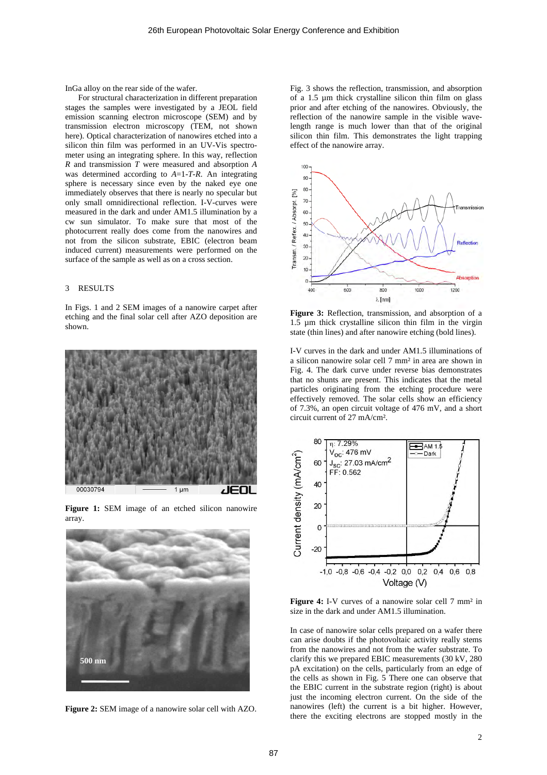InGa alloy on the rear side of the wafer.

For structural characterization in different preparation stages the samples were investigated by a JEOL field emission scanning electron microscope (SEM) and by transmission electron microscopy (TEM, not shown here). Optical characterization of nanowires etched into a silicon thin film was performed in an UV-Vis spectrometer using an integrating sphere. In this way, reflection *R* and transmission *T* were measured and absorption *A* was determined according to *A*=1-*T*-*R*. An integrating sphere is necessary since even by the naked eye one immediately observes that there is nearly no specular but only small omnidirectional reflection. I-V-curves were measured in the dark and under AM1.5 illumination by a cw sun simulator. To make sure that most of the photocurrent really does come from the nanowires and not from the silicon substrate, EBIC (electron beam induced current) measurements were performed on the surface of the sample as well as on a cross section.

# 3 RESULTS

In Figs. 1 and 2 SEM images of a nanowire carpet after etching and the final solar cell after AZO deposition are shown.



**Figure 1:** SEM image of an etched silicon nanowire array.



**Figure 2:** SEM image of a nanowire solar cell with AZO.

Fig. 3 shows the reflection, transmission, and absorption of a 1.5 µm thick crystalline silicon thin film on glass prior and after etching of the nanowires. Obviously, the reflection of the nanowire sample in the visible wavelength range is much lower than that of the original silicon thin film. This demonstrates the light trapping effect of the nanowire array.



**Figure 3:** Reflection, transmission, and absorption of a 1.5 µm thick crystalline silicon thin film in the virgin state (thin lines) and after nanowire etching (bold lines).

I-V curves in the dark and under AM1.5 illuminations of a silicon nanowire solar cell 7 mm² in area are shown in Fig. 4. The dark curve under reverse bias demonstrates that no shunts are present. This indicates that the metal particles originating from the etching procedure were effectively removed. The solar cells show an efficiency of 7.3%, an open circuit voltage of 476 mV, and a short circuit current of 27 mA/cm².



**Figure 4:** I-V curves of a nanowire solar cell 7 mm<sup>2</sup> in size in the dark and under AM1.5 illumination.

In case of nanowire solar cells prepared on a wafer there can arise doubts if the photovoltaic activity really stems from the nanowires and not from the wafer substrate. To clarify this we prepared EBIC measurements (30 kV, 280 pA excitation) on the cells, particularly from an edge of the cells as shown in Fig. 5 There one can observe that the EBIC current in the substrate region (right) is about just the incoming electron current. On the side of the nanowires (left) the current is a bit higher. However, there the exciting electrons are stopped mostly in the